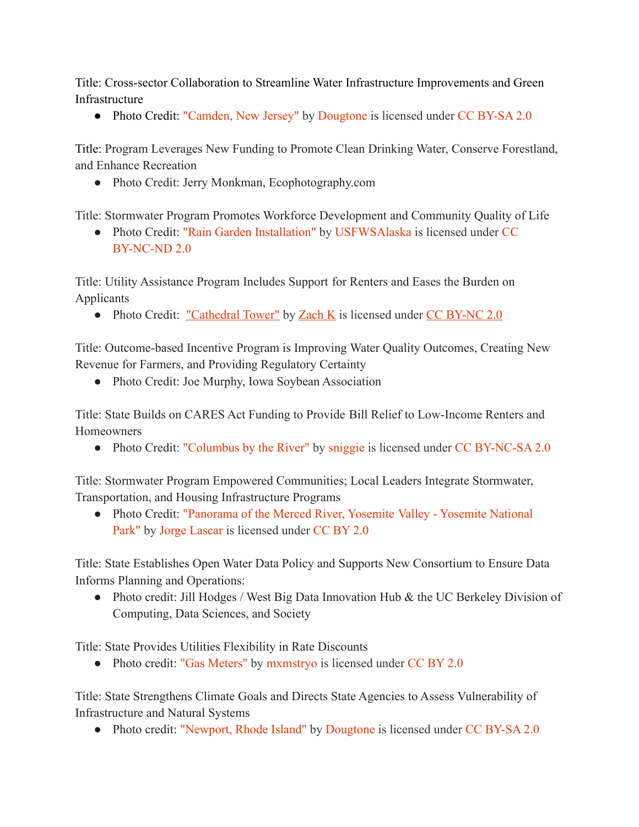Title: Cross-sector Collaboration to Streamline Water Infrastructure Improvements and Green Infrastructure

• Photo Credit: ["Camden, New Jersey"](https://www.flickr.com/photos/7327243@N05/5284105549) by [Dougtone](https://www.flickr.com/photos/7327243@N05) is licensed under [CC BY-SA 2.0](https://creativecommons.org/licenses/by-sa/2.0/?ref=ccsearch&atype=rich)

Title: Program Leverages New Funding to Promote Clean Drinking Water, Conserve Forestland, and Enhance Recreation

● Photo Credit: Jerry Monkman, Ecophotography.com

Title: Stormwater Program Promotes Workforce Development and Community Quality of Life

• Photo Credit: ["Rain Garden Installation"](https://www.flickr.com/photos/54775250@N07/14371475746) by [USFWSAlaska](https://www.flickr.com/photos/54775250@N07) is licensed under [CC](https://creativecommons.org/licenses/by-nc-nd/2.0/?ref=ccsearch&atype=rich) [BY-NC-ND 2.0](https://creativecommons.org/licenses/by-nc-nd/2.0/?ref=ccsearch&atype=rich)

Title: Utility Assistance Program Includes Support for Renters and Eases the Burden on Applicants

• Photo Credit: ["Cathedral Tower"](https://www.flickr.com/photos/98411817@N00/50172047197) by [Zach K](https://www.flickr.com/photos/98411817@N00) is licensed under [CC BY-NC 2.0](https://creativecommons.org/licenses/by-nc/2.0/?ref=ccsearch&atype=rich)

Title: Outcome-based Incentive Program is Improving Water Quality Outcomes, Creating New Revenue for Farmers, and Providing Regulatory Certainty

• Photo Credit: Joe Murphy, Iowa Soybean Association

Title: State Builds on CARES Act Funding to Provide Bill Relief to Low-Income Renters and Homeowners

• Photo Credit: ["Columbus by the River"](https://www.flickr.com/photos/16943730@N00/44055344741) by [sniggie](https://www.flickr.com/photos/16943730@N00) is licensed under [CC BY-NC-SA 2.0](https://creativecommons.org/licenses/by-nc-sa/2.0/?ref=ccsearch&atype=rich)

Title: Stormwater Program Empowered Communities; Local Leaders Integrate Stormwater, Transportation, and Housing Infrastructure Programs

● Photo Credit: ["Panorama of the Merced River, Yosemite](https://www.flickr.com/photos/8721758@N06/38747493732) Valley - Yosemite National [Park"](https://www.flickr.com/photos/8721758@N06/38747493732) by [Jorge Lascar](https://www.flickr.com/photos/8721758@N06) is licensed under [CC BY 2.0](https://creativecommons.org/licenses/by/2.0/?ref=ccsearch&atype=rich)

Title: State Establishes Open Water Data Policy and Supports New Consortium to Ensure Data Informs Planning and Operations:

• Photo credit: Jill Hodges / West Big Data Innovation Hub & the UC Berkeley Division of Computing, Data Sciences, and Society

Title: State Provides Utilities Flexibility in Rate Discounts

• Photo credit: ["Gas Meters"](https://www.flickr.com/photos/57793655@N00/3334180205) by [mxmstryo](https://www.flickr.com/photos/57793655@N00) is licensed under [CC BY 2.0](https://creativecommons.org/licenses/by/2.0/?ref=ccsearch&atype=rich)

Title: State Strengthens Climate Goals and Directs State Agencies to Assess Vulnerability of Infrastructure and Natural Systems

• Photo credit: ["Newport, Rhode Island"](https://www.flickr.com/photos/7327243@N05/4887982040) by [Dougtone](https://www.flickr.com/photos/7327243@N05) is licensed under [CC BY-SA 2.0](https://creativecommons.org/licenses/by-sa/2.0/?ref=ccsearch&atype=rich)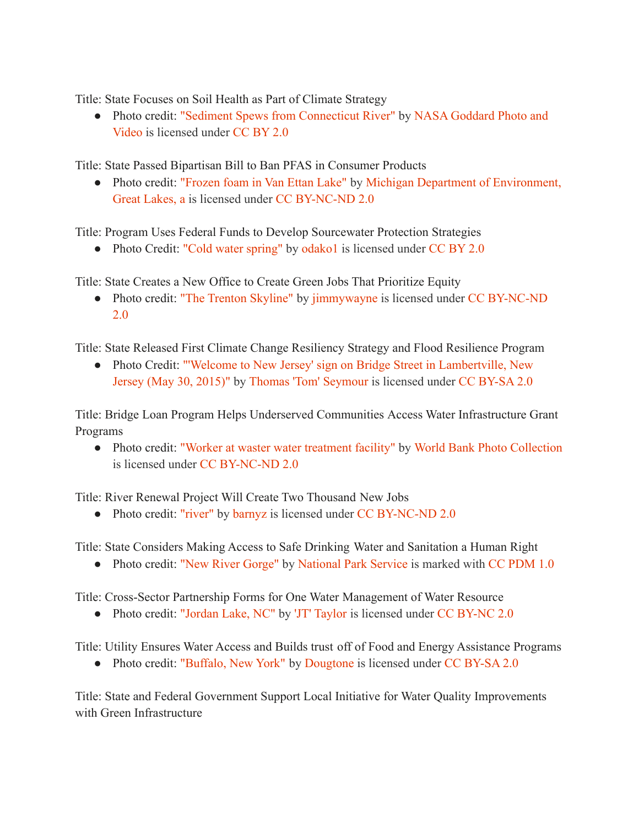Title: State Focuses on Soil Health as Part of Climate Strategy

● Photo credit: ["Sediment Spews from Connecticut River"](https://www.flickr.com/photos/24662369@N07/6128808470) by [NASA Goddard Photo and](https://www.flickr.com/photos/24662369@N07) [Video](https://www.flickr.com/photos/24662369@N07) is licensed under [CC BY 2.0](https://creativecommons.org/licenses/by/2.0/?ref=ccsearch&atype=rich)

Title: State Passed Bipartisan Bill to Ban PFAS in Consumer Products

• Photo credit: ["Frozen foam in Van Ettan Lake"](https://www.flickr.com/photos/140966568@N04/39601638971) by Michigan [Department of Environment,](https://www.flickr.com/photos/140966568@N04) [Great Lakes, a](https://www.flickr.com/photos/140966568@N04) is licensed under [CC BY-NC-ND 2.0](https://creativecommons.org/licenses/by-nc-nd/2.0/?ref=ccsearch&atype=rich)

Title: Program Uses Federal Funds to Develop Sourcewater Protection Strategies

• Photo Credit: ["Cold water spring"](https://www.flickr.com/photos/54573638@N05/5949631789) by [odako1](https://www.flickr.com/photos/54573638@N05) is licensed under [CC BY 2.0](https://creativecommons.org/licenses/by/2.0/?ref=ccsearch&atype=rich)

Title: State Creates a New Office to Create Green Jobs That Prioritize Equity

• Photo credit: ["The Trenton Skyline"](https://www.flickr.com/photos/61278305@N00/14988914624) by [jimmywayne](https://www.flickr.com/photos/61278305@N00) is licensed under [CC BY-NC-ND](https://creativecommons.org/licenses/by-nc-nd/2.0/?ref=ccsearch&atype=rich) [2.0](https://creativecommons.org/licenses/by-nc-nd/2.0/?ref=ccsearch&atype=rich)

Title: State Released First Climate Change Resiliency Strategy and Flood Resilience Program

● Photo Credit: ["'Welcome to New Jersey' sign on Bridge](https://www.flickr.com/photos/123922149@N08/27193322862) Street in Lambertville, New [Jersey \(May 30, 2015\)"](https://www.flickr.com/photos/123922149@N08/27193322862) by [Thomas 'Tom' Seymour](https://www.flickr.com/photos/123922149@N08) is licensed under [CC BY-SA 2.0](https://creativecommons.org/licenses/by-sa/2.0/?ref=ccsearch&atype=rich)

Title: Bridge Loan Program Helps Underserved Communities Access Water Infrastructure Grant Programs

● Photo credit: ["Worker at waster water treatment facility"](https://www.flickr.com/photos/10816734@N03/6359022103) by [World Bank Photo Collection](https://www.flickr.com/photos/10816734@N03) is licensed under [CC BY-NC-ND 2.0](https://creativecommons.org/licenses/by-nc-nd/2.0/?ref=ccsearch&atype=rich)

Title: River Renewal Project Will Create Two Thousand New Jobs

• Photo credit: ["river"](https://www.flickr.com/photos/75487768@N04/27075833383) by [barnyz](https://www.flickr.com/photos/75487768@N04) is licensed under [CC BY-NC-ND 2.0](https://creativecommons.org/licenses/by-nc-nd/2.0/?ref=ccsearch&atype=rich)

Title: State Considers Making Access to Safe Drinking Water and Sanitation a Human Right

• Photo credit: ["New River Gorge"](https://www.flickr.com/photos/42600860@N02/40829372473) by [National Park Service](https://www.flickr.com/photos/42600860@N02) is marked with [CC PDM 1.0](https://creativecommons.org/publicdomain/mark/1.0/?ref=ccsearch&atype=rich)

Title: Cross-Sector Partnership Forms for One Water Management of Water Resource

• Photo credit: ["Jordan Lake, NC"](https://www.flickr.com/photos/42928188@N02/7587640722) by ['JT' Taylor](https://www.flickr.com/photos/42928188@N02) is licensed under [CC BY-NC 2.0](https://creativecommons.org/licenses/by-nc/2.0/?ref=ccsearch&atype=rich)

Title: Utility Ensures Water Access and Builds trust off of Food and Energy Assistance Programs

• Photo credit: ["Buffalo, New York"](https://www.flickr.com/photos/7327243@N05/2962679141) by [Dougtone](https://www.flickr.com/photos/7327243@N05) is licensed under [CC BY-SA 2.0](https://creativecommons.org/licenses/by-sa/2.0/?ref=ccsearch&atype=rich)

Title: State and Federal Government Support Local Initiative for Water Quality Improvements with Green Infrastructure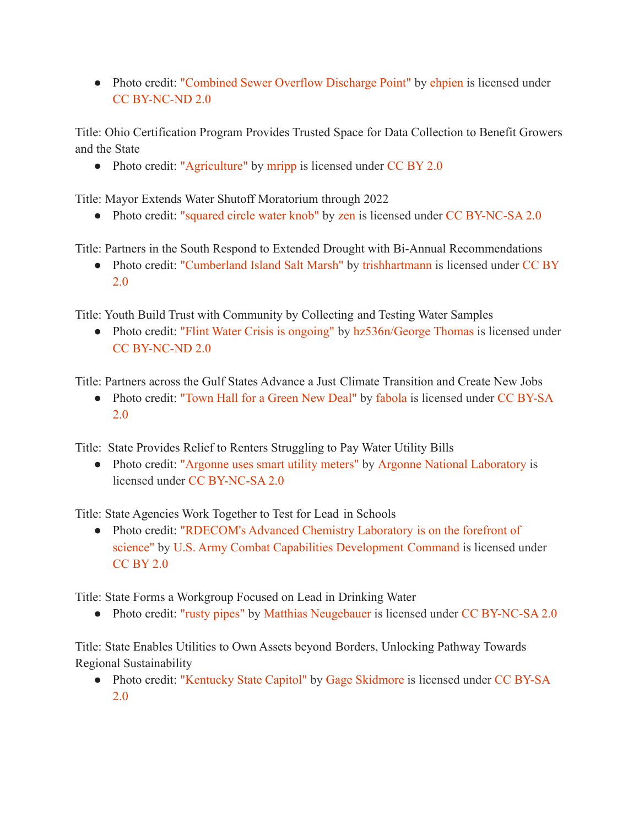• Photo credit: ["Combined Sewer Overflow Discharge Point"](https://www.flickr.com/photos/91499534@N00/553884689) by [ehpien](https://www.flickr.com/photos/91499534@N00) is licensed under [CC BY-NC-ND 2.0](https://creativecommons.org/licenses/by-nc-nd/2.0/?ref=ccsearch&atype=rich)

Title: Ohio Certification Program Provides Trusted Space for Data Collection to Benefit Growers and the State

• Photo credit: ["Agriculture"](https://www.flickr.com/photos/56218409@N03/16254496661) by [mripp](https://www.flickr.com/photos/56218409@N03) is licensed under [CC BY 2.0](https://creativecommons.org/licenses/by/2.0/?ref=ccsearch&atype=rich)

Title: Mayor Extends Water Shutoff Moratorium through 2022

• Photo credit: ["squared circle water knob"](https://www.flickr.com/photos/54289096@N00/1547703) by [zen](https://www.flickr.com/photos/54289096@N00) is licensed under [CC BY-NC-SA 2.0](https://creativecommons.org/licenses/by-nc-sa/2.0/?ref=ccsearch&atype=rich)

Title: Partners in the South Respond to Extended Drought with Bi-Annual Recommendations

• Photo credit: ["Cumberland Island Salt Marsh"](https://www.flickr.com/photos/21078769@N00/8164559528) by [trishhartmann](https://www.flickr.com/photos/21078769@N00) is licensed under [CC BY](https://creativecommons.org/licenses/by/2.0/?ref=ccsearch&atype=rich) [2.0](https://creativecommons.org/licenses/by/2.0/?ref=ccsearch&atype=rich)

Title: Youth Build Trust with Community by Collecting and Testing Water Samples

• Photo credit: ["Flint Water Crisis is ongoing"](https://www.flickr.com/photos/11703832@N08/27805760502) by [hz536n/George](https://www.flickr.com/photos/11703832@N08) Thomas is licensed under [CC BY-NC-ND 2.0](https://creativecommons.org/licenses/by-nc-nd/2.0/?ref=ccsearch&atype=rich)

Title: Partners across the Gulf States Advance a Just Climate Transition and Create New Jobs

• Photo credit: ["Town Hall for a Green New Deal"](https://www.flickr.com/photos/44124339301@N01/47945393567) by [fabola](https://www.flickr.com/photos/44124339301@N01) is licensed under [CC BY-SA](https://creativecommons.org/licenses/by-sa/2.0/?ref=ccsearch&atype=rich) [2.0](https://creativecommons.org/licenses/by-sa/2.0/?ref=ccsearch&atype=rich)

Title: State Provides Relief to Renters Struggling to Pay Water Utility Bills

• Photo credit: ["Argonne uses smart utility meters"](https://www.flickr.com/photos/35734278@N05/15276942081) by [Argonne National Laboratory](https://www.flickr.com/photos/35734278@N05) is licensed under [CC BY-NC-SA 2.0](https://creativecommons.org/licenses/by-nc-sa/2.0/?ref=ccsearch&atype=rich)

Title: State Agencies Work Together to Test for Lead in Schools

• Photo credit: ["RDECOM's Advanced Chemistry Laboratory](https://www.flickr.com/photos/34402227@N03/6990209646) is on the forefront of [science"](https://www.flickr.com/photos/34402227@N03/6990209646) by [U.S. Army Combat Capabilities Development](https://www.flickr.com/photos/34402227@N03) Command is licensed under [CC BY 2.0](https://creativecommons.org/licenses/by/2.0/?ref=ccsearch&atype=rich)

Title: State Forms a Workgroup Focused on Lead in Drinking Water

• Photo credit: ["rusty pipes"](https://www.flickr.com/photos/62450324@N06/14459575276) by [Matthias Neugebauer](https://www.flickr.com/photos/62450324@N06) is licensed under [CC BY-NC-SA 2.0](https://creativecommons.org/licenses/by-nc-sa/2.0/?ref=ccsearch&atype=rich)

Title: State Enables Utilities to Own Assets beyond Borders, Unlocking Pathway Towards Regional Sustainability

• Photo credit: ["Kentucky State Capitol"](https://www.flickr.com/photos/22007612@N05/4228907973) by [Gage Skidmore](https://www.flickr.com/photos/22007612@N05) is licensed under [CC BY-SA](https://creativecommons.org/licenses/by-sa/2.0/?ref=ccsearch&atype=rich) [2.0](https://creativecommons.org/licenses/by-sa/2.0/?ref=ccsearch&atype=rich)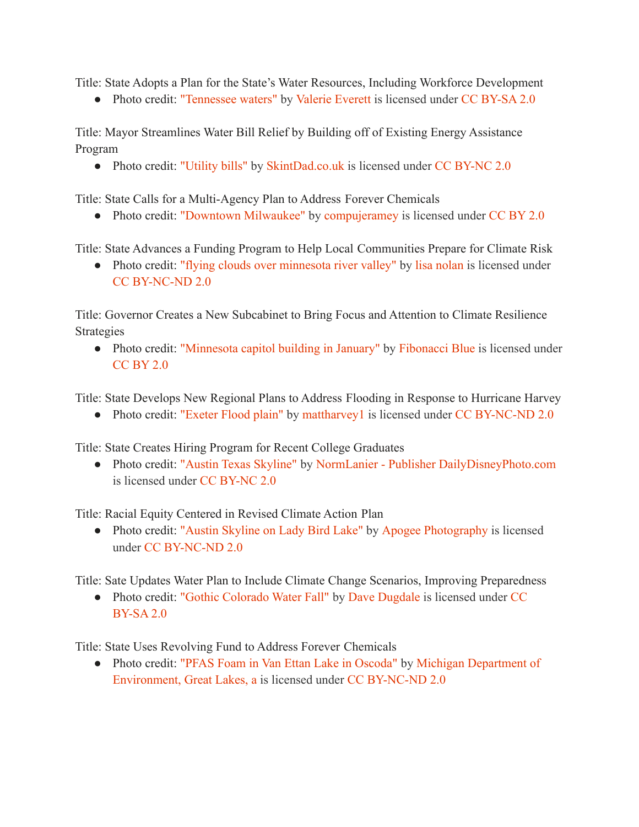Title: State Adopts a Plan for the State's Water Resources, Including Workforce Development

• Photo credit: ["Tennessee waters"](https://www.flickr.com/photos/66742614@N00/4226765235) by [Valerie Everett](https://www.flickr.com/photos/66742614@N00) is licensed under [CC BY-SA 2.0](https://creativecommons.org/licenses/by-sa/2.0/?ref=ccsearch&atype=rich)

Title: Mayor Streamlines Water Bill Relief by Building off of Existing Energy Assistance Program

• Photo credit: ["Utility bills"](https://www.flickr.com/photos/117259707@N08/15979335174) by [SkintDad.co.uk](https://www.flickr.com/photos/117259707@N08) is licensed under [CC BY-NC 2.0](https://creativecommons.org/licenses/by-nc/2.0/?ref=ccsearch&atype=rich)

Title: State Calls for a Multi-Agency Plan to Address Forever Chemicals

• Photo credit: ["Downtown Milwaukee"](https://www.flickr.com/photos/37171504@N00/2845815635) by [compujeramey](https://www.flickr.com/photos/37171504@N00) is licensed under [CC BY 2.0](https://creativecommons.org/licenses/by/2.0/?ref=ccsearch&atype=rich)

Title: State Advances a Funding Program to Help Local Communities Prepare for Climate Risk

• Photo credit: ["flying clouds over minnesota river](https://www.flickr.com/photos/87143793@N00/503198966) valley" by [lisa nolan](https://www.flickr.com/photos/87143793@N00) is licensed under [CC BY-NC-ND 2.0](https://creativecommons.org/licenses/by-nc-nd/2.0/?ref=ccsearch&atype=rich)

Title: Governor Creates a New Subcabinet to Bring Focus and Attention to Climate Resilience Strategies

• Photo credit: ["Minnesota capitol building in January"](https://www.flickr.com/photos/44550450@N04/4258511335) by [Fibonacci Blue](https://www.flickr.com/photos/44550450@N04) is licensed under [CC BY 2.0](https://creativecommons.org/licenses/by/2.0/?ref=ccsearch&atype=rich)

Title: State Develops New Regional Plans to Address Flooding in Response to Hurricane Harvey

• Photo credit: ["Exeter Flood plain"](https://www.flickr.com/photos/64792720@N00/13942901288) by [mattharvey1](https://www.flickr.com/photos/64792720@N00) is licensed under [CC BY-NC-ND 2.0](https://creativecommons.org/licenses/by-nc-nd/2.0/?ref=ccsearch&atype=rich)

Title: State Creates Hiring Program for Recent College Graduates

● Photo credit: ["Austin Texas Skyline"](https://www.flickr.com/photos/85864407@N08/15381762405) by NormLanier [- Publisher DailyDisneyPhoto.com](https://www.flickr.com/photos/85864407@N08) is licensed under [CC BY-NC 2.0](https://creativecommons.org/licenses/by-nc/2.0/?ref=ccsearch&atype=rich)

Title: Racial Equity Centered in Revised Climate Action Plan

• Photo credit: ["Austin Skyline on Lady Bird Lake"](https://www.flickr.com/photos/9901749@N06/7315266200) by [Apogee Photography](https://www.flickr.com/photos/9901749@N06) is licensed under [CC BY-NC-ND 2.0](https://creativecommons.org/licenses/by-nc-nd/2.0/?ref=ccsearch&atype=rich)

Title: Sate Updates Water Plan to Include Climate Change Scenarios, Improving Preparedness

• Photo credit: ["Gothic Colorado Water Fall"](https://www.flickr.com/photos/37387065@N05/5910417902) by Dave [Dugdale](https://www.flickr.com/photos/37387065@N05) is licensed under [CC](https://creativecommons.org/licenses/by-sa/2.0/?ref=ccsearch&atype=rich) [BY-SA 2.0](https://creativecommons.org/licenses/by-sa/2.0/?ref=ccsearch&atype=rich)

Title: State Uses Revolving Fund to Address Forever Chemicals

● Photo credit: ["PFAS Foam in Van Ettan Lake in Oscoda"](https://www.flickr.com/photos/140966568@N04/39601591511) by [Michigan Department of](https://www.flickr.com/photos/140966568@N04) [Environment, Great Lakes, a](https://www.flickr.com/photos/140966568@N04) is licensed under [CC BY-NC-ND](https://creativecommons.org/licenses/by-nc-nd/2.0/?ref=ccsearch&atype=rich) 2.0